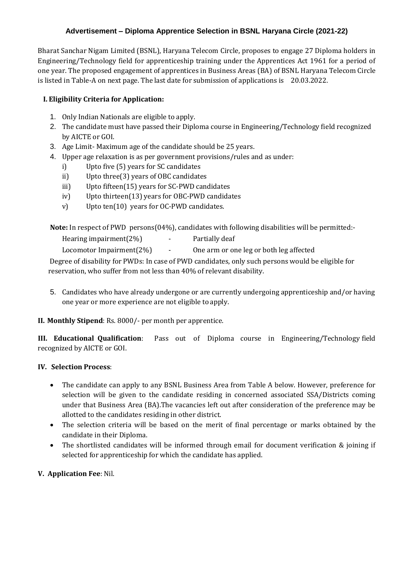# **Advertisement – Diploma Apprentice Selection in BSNL Haryana Circle (2021-22)**

Bharat Sanchar Nigam Limited (BSNL), Haryana Telecom Circle, proposes to engage 27 Diploma holders in Engineering/Technology field for apprenticeship training under the Apprentices Act 1961 for a period of one year. The proposed engagement of apprentices in Business Areas (BA) of BSNL Haryana Telecom Circle is listed in Table-A on next page. The last date for submission of applications is 20.03.2022.

## **I. Eligibility Criteria for Application:**

- 1. Only Indian Nationals are eligible to apply.
- 2. The candidate must have passed their Diploma course in Engineering/Technology field recognized by AICTE or GOI.
- 3. Age Limit- Maximum age of the candidate should be 25 years.
- 4. Upper age relaxation is as per government provisions/rules and as under:
	- i) Upto five (5) years for SC candidates
	- ii) Upto three(3) years of OBC candidates
	- iii) Upto fifteen(15) years for SC-PWD candidates
	- iv) Upto thirteen(13) years for OBC-PWD candidates
	- v) Upto ten(10) years for OC-PWD candidates.

 **Note:** In respect of PWD persons(04%), candidates with following disabilities will be permitted:-

Hearing impairment(2%) - Partially deaf

Locomotor Impairment(2%) - One arm or one leg or both leg affected

Degree of disability for PWDs: In case of PWD candidates, only such persons would be eligible for reservation, who suffer from not less than 40% of relevant disability.

5. Candidates who have already undergone or are currently undergoing apprenticeship and/or having one year or more experience are not eligible to apply.

**II. Monthly Stipend**: Rs. 8000/- per month per apprentice.

**III. Educational Qualification**: Pass out of Diploma course in Engineering/Technology field recognized by AICTE or GOI.

#### **IV. Selection Process**:

- The candidate can apply to any BSNL Business Area from Table A below. However, preference for selection will be given to the candidate residing in concerned associated SSA/Districts coming under that Business Area (BA).The vacancies left out after consideration of the preference may be allotted to the candidates residing in other district.
- The selection criteria will be based on the merit of final percentage or marks obtained by the candidate in their Diploma.
- The shortlisted candidates will be informed through email for document verification & joining if selected for apprenticeship for which the candidate has applied.

#### **V. Application Fee**: Nil.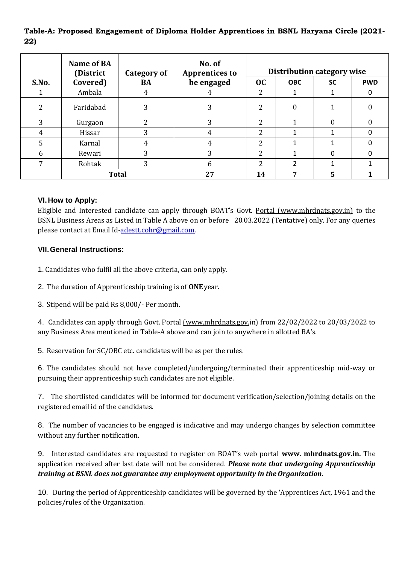# **Table-A: Proposed Engagement of Diploma Holder Apprentices in BSNL Haryana Circle (2021- 22)**

|       | Name of BA<br>(District | <b>Category of</b> | No. of<br><b>Apprentices to</b> | Distribution category wise |               |              |            |
|-------|-------------------------|--------------------|---------------------------------|----------------------------|---------------|--------------|------------|
| S.No. | Covered)                | BA                 | be engaged                      | oc                         | <b>OBC</b>    | <b>SC</b>    | <b>PWD</b> |
|       | Ambala                  | 4                  | 4                               | າ                          |               |              |            |
| າ     | Faridabad               | 3                  | 3                               |                            | 0             |              |            |
| 3     | Gurgaon                 | າ                  | 3                               | າ                          |               | <sup>0</sup> |            |
| 4     | Hissar                  | 3                  | 4                               |                            |               |              |            |
| 5     | Karnal                  |                    | 4                               | ົາ                         |               |              |            |
| 6     | Rewari                  | 3                  | 3                               | ົາ                         |               | <sup>0</sup> |            |
| 7     | Rohtak                  | 3                  | 6                               | ി                          | $\mathcal{P}$ |              |            |
|       | <b>Total</b>            |                    | 27                              | 14                         | -             | 5            |            |

### **VI.How to Apply:**

Eligible and Interested candidate can apply through BOAT's Govt. Portal (www.mhrdnats.gov.in) to the BSNL Business Areas as Listed in Table A above on or before 20.03.2022 (Tentative) only. For any queries please contact at Email Id[-adestt.cohr@gmail.com.](mailto:adestt.cohr@gmail.com)

### **VII.General Instructions:**

1. Candidates who fulfil all the above criteria, can only apply.

2. The duration of Apprenticeship training is of **ONE**year.

3. Stipend will be paid Rs 8,000/- Per month.

4. Candidates can apply through Govt. Portal (www.mhrdnats.gov.in) from 22/02/2022 to 20/03/2022 to any Business Area mentioned in Table-A above and can join to anywhere in allotted BA's.

5. Reservation for SC/OBC etc. candidates will be as per the rules.

6. The candidates should not have completed/undergoing/terminated their apprenticeship mid-way or pursuing their apprenticeship such candidates are not eligible.

7. The shortlisted candidates will be informed for document verification/selection/joining details on the registered email id of the candidates.

8. The number of vacancies to be engaged is indicative and may undergo changes by selection committee without any further notification.

9. Interested candidates are requested to register on BOAT's web portal **[www.](http://www/) mhrdnats.gov.in.** The application received after last date will not be considered. *Please note that undergoing Apprenticeship training at BSNL does not guarantee any employment opportunity in theOrganization*.

10. During the period of Apprenticeship candidates will be governed by the 'Apprentices Act, 1961 and the policies/rules of the Organization.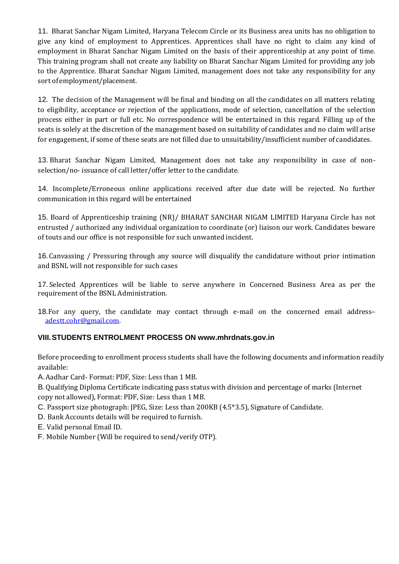11. Bharat Sanchar Nigam Limited, Haryana Telecom Circle or its Business area units has no obligation to give any kind of employment to Apprentices. Apprentices shall have no right to claim any kind of employment in Bharat Sanchar Nigam Limited on the basis of their apprenticeship at any point of time. This training program shall not create any liability on Bharat Sanchar Nigam Limited for providing any job to the Apprentice. Bharat Sanchar Nigam Limited, management does not take any responsibility for any sort of employment/placement.

12. The decision of the Management will be final and binding on all the candidates on all matters relating to eligibility, acceptance or rejection of the applications, mode of selection, cancellation of the selection process either in part or full etc. No correspondence will be entertained in this regard. Filling up of the seats is solely at the discretion of the management based on suitability of candidates and no claim will arise for engagement, if some of these seats are not filled due to unsuitability/insufficient number of candidates.

13. Bharat Sanchar Nigam Limited, Management does not take any responsibility in case of nonselection/no- issuance of call letter/offer letter to the candidate.

14. Incomplete/Erroneous online applications received after due date will be rejected. No further communication in this regard will be entertained

15. Board of Apprenticeship training (NR)/ BHARAT SANCHAR NIGAM LIMITED Haryana Circle has not entrusted / authorized any individual organization to coordinate (or) liaison our work. Candidates beware of touts and our office is not responsible for such unwanted incident.

16.Canvassing / Pressuring through any source will disqualify the candidature without prior intimation and BSNL will not responsible for such cases

17. Selected Apprentices will be liable to serve anywhere in Concerned Business Area as per the requirement of the BSNL Administration.

18.For any query, the candidate may contact through e-mail on the concerned email address– [adestt.cohr@gmail.com.](mailto:adestt.cohr@gmail.com)

## **VIII.STUDENTS ENTROLMENT PROCESS ON [www.mhrdnats.gov.in](http://www.mhrdnats.gov.in/)**

Before proceeding to enrollment process students shall have the following documents and information readily available:

A.Aadhar Card- Format: PDF, Size: Less than 1 MB.

B.Qualifying Diploma Certificate indicating pass status with division and percentage of marks (Internet copy not allowed), Format: PDF, Size: Less than 1 MB.

C. Passport size photograph: JPEG, Size: Less than 200KB (4.5\*3.5), Signature of Candidate.

- D. Bank Accounts details will be required to furnish.
- E. Valid personal Email ID.
- F. Mobile Number (Will be required to send/verify OTP).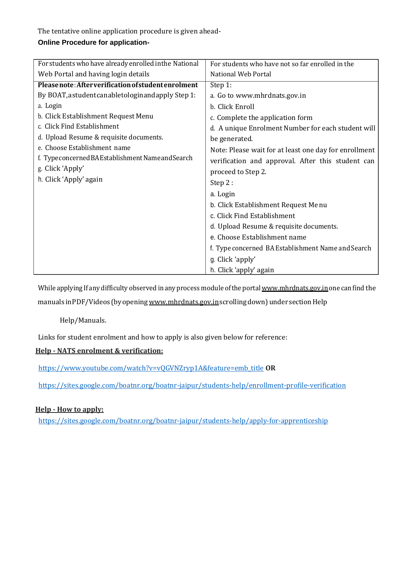The tentative online application procedure is given ahead-

# **Online Procedure for application-**

| For students who have already enrolled in the National | For students who have not so far enrolled in the                                                                             |  |  |  |
|--------------------------------------------------------|------------------------------------------------------------------------------------------------------------------------------|--|--|--|
| Web Portal and having login details                    | National Web Portal                                                                                                          |  |  |  |
| Please note: After verification of student enrolment   | Step 1:                                                                                                                      |  |  |  |
| By BOAT, a student canable to login and apply Step 1:  | a. Go to www.mhrdnats.gov.in                                                                                                 |  |  |  |
| a. Login                                               | b. Click Enroll                                                                                                              |  |  |  |
| b. Click Establishment Request Menu                    | c. Complete the application form                                                                                             |  |  |  |
| c. Click Find Establishment                            | d. A unique Enrolment Number for each student will<br>be generated.<br>Note: Please wait for at least one day for enrollment |  |  |  |
| d. Upload Resume & requisite documents.                |                                                                                                                              |  |  |  |
| e. Choose Establishment name                           |                                                                                                                              |  |  |  |
| f. Typeconcerned BAEstablishment Name and Search       | verification and approval. After this student can                                                                            |  |  |  |
| g. Click 'Apply'                                       | proceed to Step 2.                                                                                                           |  |  |  |
| h. Click 'Apply' again                                 | Step 2:                                                                                                                      |  |  |  |
|                                                        | a. Login                                                                                                                     |  |  |  |
|                                                        | b. Click Establishment Request Menu                                                                                          |  |  |  |
|                                                        | c. Click Find Establishment                                                                                                  |  |  |  |
|                                                        | d. Upload Resume & requisite documents.                                                                                      |  |  |  |
|                                                        | e. Choose Establishment name                                                                                                 |  |  |  |
|                                                        | f. Type concerned BA Establishment Name and Search                                                                           |  |  |  |
|                                                        | g. Click 'apply'                                                                                                             |  |  |  |
|                                                        | h. Click 'apply' again                                                                                                       |  |  |  |

While applying If any difficulty observed in any process module of the portal www.mhrdnats.gov.in one can find the manuals in PDF/Videos (by opening www.mhrdnats.gov.inscrolling down) under section Help

# Help/Manuals.

Links for student enrolment and how to apply is also given below for reference:

# **Help - NATS enrolment & verification:**

[https://www.youtube.com/watch?v=vQGVNZryp1A&feature=emb\\_title](https://www.youtube.com/watch?v=vQGVNZryp1A&feature=emb_title) **OR**

<https://sites.google.com/boatnr.org/boatnr-jaipur/students-help/enrollment-profile-verification>

## **Help - How to apply:**

<https://sites.google.com/boatnr.org/boatnr-jaipur/students-help/apply-for-apprenticeship>